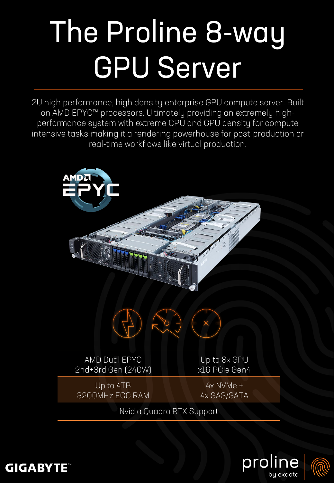## The Proline 8-way GPU Server

2U high performance, high density enterprise GPU compute server. Built on AMD EPYC™ processors. Ultimately providing an extremely highperformance system with extreme CPU and GPU density for compute intensive tasks making it a rendering powerhouse for post-production or real-time workflows like virtual production.







**GIGABYTE**